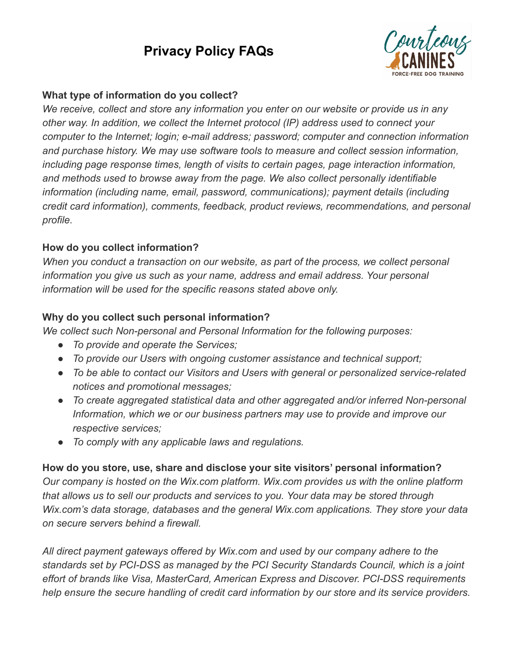# **Privacy Policy FAQs**



#### **What type of information do you collect?**

*We receive, collect and store any information you enter on our website or provide us in any other way. In addition, we collect the Internet protocol (IP) address used to connect your computer to the Internet; login; e-mail address; password; computer and connection information and purchase history. We may use software tools to measure and collect session information, including page response times, length of visits to certain pages, page interaction information, and methods used to browse away from the page. We also collect personally identifiable information (including name, email, password, communications); payment details (including credit card information), comments, feedback, product reviews, recommendations, and personal profile.*

### **How do you collect information?**

*When you conduct a transaction on our website, as part of the process, we collect personal information you give us such as your name, address and email address. Your personal information will be used for the specific reasons stated above only.*

### **Why do you collect such personal information?**

*We collect such Non-personal and Personal Information for the following purposes:*

- *● To provide and operate the Services;*
- *To provide our Users with ongoing customer assistance and technical support;*
- *To be able to contact our Visitors and Users with general or personalized service-related notices and promotional messages;*
- *To create aggregated statistical data and other aggregated and/or inferred Non-personal Information, which we or our business partners may use to provide and improve our respective services;*
- *To comply with any applicable laws and regulations.*

## **How do you store, use, share and disclose your site visitors' personal information?**

*Our company is hosted on the Wix.com platform. Wix.com provides us with the online platform that allows us to sell our products and services to you. Your data may be stored through Wix.com's data storage, databases and the general Wix.com applications. They store your data on secure servers behind a firewall.*

*All direct payment gateways offered by Wix.com and used by our company adhere to the standards set by PCI-DSS as managed by the PCI Security Standards Council, which is a joint effort of brands like Visa, MasterCard, American Express and Discover. PCI-DSS requirements help ensure the secure handling of credit card information by our store and its service providers.*